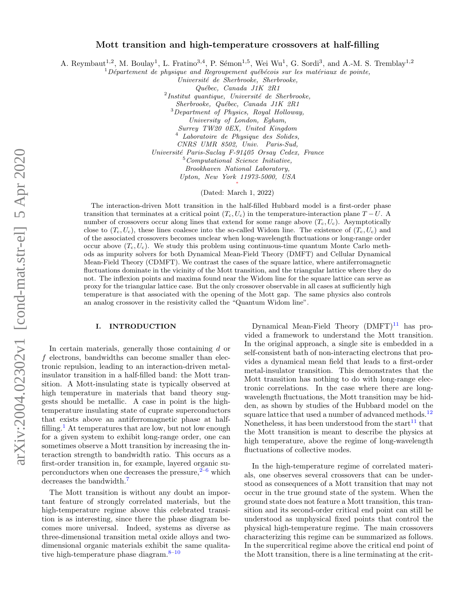# Mott transition and high-temperature crossovers at half-filling

A. Reymbaut<sup>1,2</sup>, M. Boulay<sup>1</sup>, L. Fratino<sup>3,4</sup>, P. Sémon<sup>1,5</sup>, Wei Wu<sup>1</sup>, G. Sordi<sup>3</sup>, and A.-M. S. Tremblay<sup>1,2</sup>

 $1$ Département de physique and Regroupement québécois sur les matériaux de pointe,

Université de Sherbrooke, Sherbrooke,

Qu´ebec, Canada J1K 2R1

 $2$ Institut quantique, Université de Sherbrooke,

Sherbrooke, Québec, Canada J1K 2R1

<sup>3</sup>Department of Physics, Royal Holloway,

University of London, Egham,

Surrey TW20 0EX, United Kingdom

<sup>4</sup> Laboratoire de Physique des Solides,

CNRS UMR 8502, Univ. Paris-Sud,

Université Paris-Saclay F-91405 Orsay Cedex, France

<sup>5</sup>Computational Science Initiative,

Brookhaven National Laboratory,

Upton, New York 11973-5000, USA [∗](#page-8-0)

(Dated: March 1, 2022)

The interaction-driven Mott transition in the half-filled Hubbard model is a first-order phase transition that terminates at a critical point  $(T_c, U_c)$  in the temperature-interaction plane  $T - U$ . number of crossovers occur along lines that extend for some range above  $(T_c, U_c)$ . Asymptotically close to  $(T_c, U_c)$ , these lines coalesce into the so-called Widom line. The existence of  $(T_c, U_c)$  and of the associated crossovers becomes unclear when long-wavelength fluctuations or long-range order occur above  $(T_c, U_c)$ . We study this problem using continuous-time quantum Monte Carlo methods as impurity solvers for both Dynamical Mean-Field Theory (DMFT) and Cellular Dynamical Mean-Field Theory (CDMFT). We contrast the cases of the square lattice, where antiferromagnetic fluctuations dominate in the vicinity of the Mott transition, and the triangular lattice where they do not. The inflexion points and maxima found near the Widom line for the square lattice can serve as proxy for the triangular lattice case. But the only crossover observable in all cases at sufficiently high temperature is that associated with the opening of the Mott gap. The same physics also controls an analog crossover in the resistivity called the "Quantum Widom line".

# I. INTRODUCTION

In certain materials, generally those containing d or f electrons, bandwidths can become smaller than electronic repulsion, leading to an interaction-driven metalinsulator transition in a half-filled band: the Mott transition. A Mott-insulating state is typically observed at high temperature in materials that band theory suggests should be metallic. A case in point is the hightemperature insulating state of cuprate superconductors that exists above an antiferromagnetic phase at half-filling.<sup>[1](#page-8-1)</sup> At temperatures that are low, but not low enough for a given system to exhibit long-range order, one can sometimes observe a Mott transition by increasing the interaction strength to bandwidth ratio. This occurs as a first-order transition in, for example, layered organic superconductors when one decreases the pressure,  $2^{-6}$  $2^{-6}$  $2^{-6}$  which decreases the bandwidth.<sup>[7](#page-8-4)</sup>

The Mott transition is without any doubt an important feature of strongly correlated materials, but the high-temperature regime above this celebrated transition is as interesting, since there the phase diagram becomes more universal. Indeed, systems as diverse as three-dimensional transition metal oxide alloys and twodimensional organic materials exhibit the same qualitative high-temperature phase diagram. $8-10$  $8-10$ 

Dynamical Mean-Field Theory  $(DMFT)^{11}$  $(DMFT)^{11}$  $(DMFT)^{11}$  has provided a framework to understand the Mott transition. In the original approach, a single site is embedded in a self-consistent bath of non-interacting electrons that provides a dynamical mean field that leads to a first-order metal-insulator transition. This demonstrates that the Mott transition has nothing to do with long-range electronic correlations. In the case where there are longwavelength fluctuations, the Mott transition may be hidden, as shown by studies of the Hubbard model on the square lattice that used a number of advanced methods.<sup>[12](#page-8-8)</sup> Nonetheless, it has been understood from the start<sup>[11](#page-8-7)</sup> that the Mott transition is meant to describe the physics at high temperature, above the regime of long-wavelength fluctuations of collective modes.

In the high-temperature regime of correlated materials, one observes several crossovers that can be understood as consequences of a Mott transition that may not occur in the true ground state of the system. When the ground state does not feature a Mott transition, this transition and its second-order critical end point can still be understood as unphysical fixed points that control the physical high-temperature regime. The main crossovers characterizing this regime can be summarized as follows. In the supercritical regime above the critical end point of the Mott transition, there is a line terminating at the crit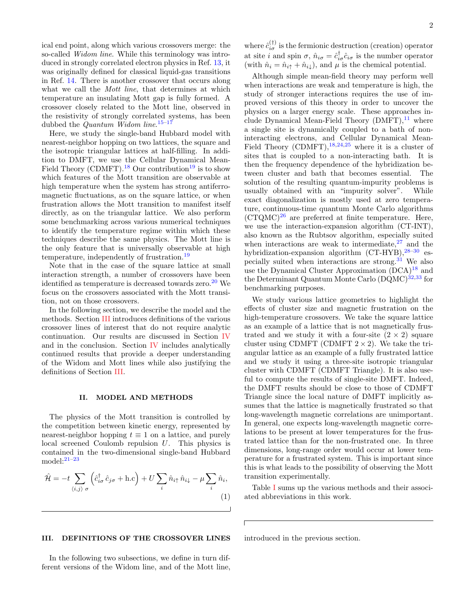ical end point, along which various crossovers merge: the so-called *Widom line*. While this terminology was introduced in strongly correlated electron physics in Ref. [13,](#page-8-9) it was originally defined for classical liquid-gas transitions in Ref. [14.](#page-8-10) There is another crossover that occurs along what we call the *Mott line*, that determines at which temperature an insulating Mott gap is fully formed. A crossover closely related to the Mott line, observed in the resistivity of strongly correlated systems, has been dubbed the *Quantum Widom line*.<sup>[15](#page-8-11)-17</sup>

Here, we study the single-band Hubbard model with nearest-neighbor hopping on two lattices, the square and the isotropic triangular lattices at half-filling. In addition to DMFT, we use the Cellular Dynamical Mean-Field Theory (CDMFT).<sup>[18](#page-8-13)</sup> Our contribution<sup>[19](#page-8-14)</sup> is to show which features of the Mott transition are observable at high temperature when the system has strong antiferromagnetic fluctuations, as on the square lattice, or when frustration allows the Mott transition to manifest itself directly, as on the triangular lattice. We also perform some benchmarking across various numerical techniques to identify the temperature regime within which these techniques describe the same physics. The Mott line is the only feature that is universally observable at high temperature, independently of frustration.[19](#page-8-14)

Note that in the case of the square lattice at small interaction strength, a number of crossovers have been identified as temperature is decreased towards zero.<sup>[20](#page-8-15)</sup> We focus on the crossovers associated with the Mott transition, not on those crossovers.

In the following section, we describe the model and the methods. Section [III](#page-1-0) introduces definitions of the various crossover lines of interest that do not require analytic continuation. Our results are discussed in Section [IV](#page-4-0) and in the conclusion. Section [IV](#page-4-0) includes analytically continued results that provide a deeper understanding of the Widom and Mott lines while also justifying the definitions of Section [III.](#page-1-0)

### <span id="page-1-1"></span>II. MODEL AND METHODS

The physics of the Mott transition is controlled by the competition between kinetic energy, represented by nearest-neighbor hopping  $t \equiv 1$  on a lattice, and purely local screened Coulomb repulsion U. This physics is contained in the two-dimensional single-band Hubbard model:[21–](#page-8-16)[23](#page-8-17)

$$
\hat{\mathcal{H}} = -t \sum_{\langle i,j \rangle \sigma} \left( \hat{c}_{i\sigma}^{\dagger} \hat{c}_{j\sigma} + \text{h.c} \right) + U \sum_{i} \hat{n}_{i\uparrow} \hat{n}_{i\downarrow} - \mu \sum_{i} \hat{n}_{i}, \tag{1}
$$

# <span id="page-1-0"></span>III. DEFINITIONS OF THE CROSSOVER LINES

In the following two subsections, we define in turn different versions of the Widom line, and of the Mott line, where  $\hat{c}^{(\dagger)}_{i\sigma}$  is the fermionic destruction (creation) operator at site *i* and spin  $\sigma$ ,  $\hat{n}_{i\sigma} = \hat{c}^{\dagger}_{i\sigma} \hat{c}_{i\sigma}$  is the number operator (with  $\hat{n}_i = \hat{n}_{i\uparrow} + \hat{n}_{i\downarrow}$ ), and  $\mu$  is the chemical potential.

Although simple mean-field theory may perform well when interactions are weak and temperature is high, the study of stronger interactions requires the use of improved versions of this theory in order to uncover the physics on a larger energy scale. These approaches include Dynamical Mean-Field Theory  $(DMFT),^{11}$  $(DMFT),^{11}$  $(DMFT),^{11}$  where a single site is dynamically coupled to a bath of noninteracting electrons, and Cellular Dynamical Mean-Field Theory (CDMFT),  $18,24,25$  $18,24,25$  $18,24,25$  where it is a cluster of sites that is coupled to a non-interacting bath. It is then the frequency dependence of the hybridization between cluster and bath that becomes essential. The solution of the resulting quantum-impurity problems is usually obtained with an "impurity solver". While exact diagonalization is mostly used at zero temperature, continuous-time quantum Monte Carlo algorithms  $(CTQMC)^{26}$  $(CTQMC)^{26}$  $(CTQMC)^{26}$  are preferred at finite temperature. Here, we use the interaction-expansion algorithm (CT-INT), also known as the Rubtsov algorithm, especially suited when interactions are weak to intermediate, $27$  and the hybridization-expansion algorithm  $(CT-HYB)$ ,  $28-30$  $28-30$  especially suited when interactions are strong. $31$  We also use the Dynamical Cluster Approximation  $(DCA)^{18}$  $(DCA)^{18}$  $(DCA)^{18}$  and the Determinant Quantum Monte Carlo  $(DQMC)^{32,33}$  $(DQMC)^{32,33}$  $(DQMC)^{32,33}$  $(DQMC)^{32,33}$  for benchmarking purposes.

We study various lattice geometries to highlight the effects of cluster size and magnetic frustration on the high-temperature crossovers. We take the square lattice as an example of a lattice that is not magnetically frustrated and we study it with a four-site  $(2 \times 2)$  square cluster using CDMFT (CDMFT  $2 \times 2$ ). We take the triangular lattice as an example of a fully frustrated lattice and we study it using a three-site isotropic triangular cluster with CDMFT (CDMFT Triangle). It is also useful to compute the results of single-site DMFT. Indeed, the DMFT results should be close to those of CDMFT Triangle since the local nature of DMFT implicitly assumes that the lattice is magnetically frustrated so that long-wavelength magnetic correlations are unimportant. In general, one expects long-wavelength magnetic correlations to be present at lower temperatures for the frustrated lattice than for the non-frustrated one. In three dimensions, long-range order would occur at lower temperature for a frustrated system. This is important since this is what leads to the possibility of observing the Mott transition experimentally.

Table [I](#page-2-0) sums up the various methods and their associated abbreviations in this work.

introduced in the previous section.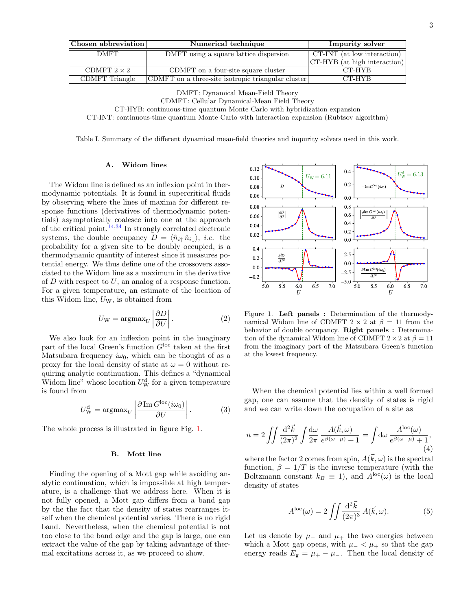| Chosen abbreviation | Numerical technique                                | <b>Impurity solver</b>       |
|---------------------|----------------------------------------------------|------------------------------|
| DMFT.               | DMFT using a square lattice dispersion             | CT-INT (at low interaction)  |
|                     |                                                    | CT-HYB (at high interaction) |
| CDMFT $2 \times 2$  | CDMFT on a four-site square cluster                | CT-HYB                       |
| CDMFT Triangle      | CDMFT on a three-site isotropic triangular cluster | CT-HYB                       |

DMFT: Dynamical Mean-Field Theory

CDMFT: Cellular Dynamical-Mean Field Theory

CT-HYB: continuous-time quantum Monte Carlo with hybridization expansion

<span id="page-2-0"></span>CT-INT: continuous-time quantum Monte Carlo with interaction expansion (Rubtsov algorithm)

Table I. Summary of the different dynamical mean-field theories and impurity solvers used in this work.

## A. Widom lines

The Widom line is defined as an inflexion point in thermodynamic potentials. It is found in supercritical fluids by observing where the lines of maxima for different response functions (derivatives of thermodynamic potentials) asymptotically coalesce into one at the approach of the critical point. $14,34$  $14,34$  In strongly correlated electronic systems, the double occupancy  $D = \langle \hat{n}_{i\uparrow} \hat{n}_{i\downarrow} \rangle$ , *i.e.* the probability for a given site to be doubly occupied, is a thermodynamic quantity of interest since it measures potential energy. We thus define one of the crossovers associated to the Widom line as a maximum in the derivative of  $D$  with respect to  $U$ , an analog of a response function. For a given temperature, an estimate of the location of this Widom line,  $U_W$ , is obtained from

<span id="page-2-2"></span>
$$
U_{\rm W} = \operatorname{argmax}_{U} \left| \frac{\partial D}{\partial U} \right|.
$$
 (2)

We also look for an inflexion point in the imaginary part of the local Green's function  $G^{\text{loc}}$  taken at the first Matsubara frequency  $i\omega_0$ , which can be thought of as a proxy for the local density of state at  $\omega = 0$  without requiring analytic continuation. This defines a "dynamical Widom line" whose location  $U^{\text{d}}_{\text{W}}$  for a given temperature is found from

<span id="page-2-3"></span>
$$
U_{\rm W}^{\rm d} = \operatorname{argmax}_{U} \left| \frac{\partial \operatorname{Im} G^{\rm loc}(i\omega_{0})}{\partial U} \right|.
$$
 (3)

The whole process is illustrated in figure Fig. [1.](#page-2-1)

# <span id="page-2-4"></span>B. Mott line

Finding the opening of a Mott gap while avoiding analytic continuation, which is impossible at high temperature, is a challenge that we address here. When it is not fully opened, a Mott gap differs from a band gap by the the fact that the density of states rearranges itself when the chemical potential varies. There is no rigid band. Nevertheless, when the chemical potential is not too close to the band edge and the gap is large, one can extract the value of the gap by taking advantage of thermal excitations across it, as we proceed to show.



<span id="page-2-1"></span>Figure 1. Left panels : Determination of the thermodynamical Widom line of CDMFT  $2 \times 2$  at  $\beta = 11$  from the behavior of double occupancy. Right panels : Determination of the dynamical Widom line of CDMFT  $2 \times 2$  at  $\beta = 11$ from the imaginary part of the Matsubara Green's function at the lowest frequency.

When the chemical potential lies within a well formed gap, one can assume that the density of states is rigid and we can write down the occupation of a site as

$$
n = 2 \iint \frac{\mathrm{d}^2 \vec{k}}{(2\pi)^2} \int \frac{\mathrm{d}\omega}{2\pi} \frac{A(\vec{k}, \omega)}{e^{\beta(\omega - \mu)} + 1} = \int \mathrm{d}\omega \frac{A^{\mathrm{loc}}(\omega)}{e^{\beta(\omega - \mu)} + 1},\tag{4}
$$

where the factor 2 comes from spin,  $A(\vec{k}, \omega)$  is the spectral function,  $\beta = 1/T$  is the inverse temperature (with the Boltzmann constant  $k_B \equiv 1$ , and  $A^{\text{loc}}(\omega)$  is the local density of states

$$
A^{\rm loc}(\omega) = 2 \iint \frac{\mathrm{d}^2 \vec{k}}{(2\pi)^3} A(\vec{k}, \omega). \tag{5}
$$

Let us denote by  $\mu_-\$  and  $\mu_+$  the two energies between which a Mott gap opens, with  $\mu$  –  $\lt \mu$ + so that the gap energy reads  $E_{\rm g} = \mu_{+} - \mu_{-}$ . Then the local density of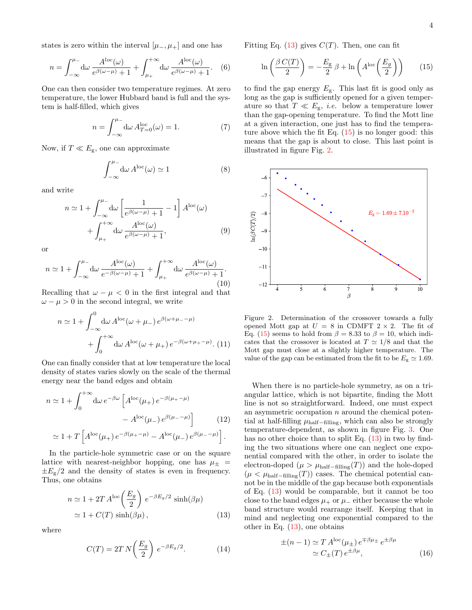states is zero within the interval  $[\mu_-, \mu_+]$  and one has

$$
n = \int_{-\infty}^{\mu_{-}} \mathrm{d}\omega \, \frac{A^{loc}(\omega)}{e^{\beta(\omega-\mu)} + 1} + \int_{\mu_{+}}^{+\infty} \mathrm{d}\omega \, \frac{A^{loc}(\omega)}{e^{\beta(\omega-\mu)} + 1} . \tag{6}
$$

One can then consider two temperature regimes. At zero temperature, the lower Hubbard band is full and the system is half-filled, which gives

$$
n = \int_{-\infty}^{\mu_{-}} \mathrm{d}\omega \, A_{T=0}^{\text{loc}}(\omega) = 1. \tag{7}
$$

Now, if  $T \ll E_{\rm g}$ , one can approximate

$$
\int_{-\infty}^{\mu_{-}} \mathrm{d}\omega \, A^{\mathrm{loc}}(\omega) \simeq 1 \tag{8}
$$

and write

$$
n \simeq 1 + \int_{-\infty}^{\mu_{-}} d\omega \left[ \frac{1}{e^{\beta(\omega - \mu)} + 1} - 1 \right] A^{\rm loc}(\omega)
$$

$$
+ \int_{\mu_{+}}^{+\infty} d\omega \frac{A^{\rm loc}(\omega)}{e^{\beta(\omega - \mu)} + 1}, \tag{9}
$$

or

<span id="page-3-4"></span>
$$
n \simeq 1 + \int_{-\infty}^{\mu_{-}} \mathrm{d}\omega \, \frac{A^{\mathrm{loc}}(\omega)}{e^{-\beta(\omega-\mu)} + 1} + \int_{\mu_{+}}^{+\infty} \mathrm{d}\omega \, \frac{A^{\mathrm{loc}}(\omega)}{e^{\beta(\omega-\mu)} + 1}.
$$
\n(10)

Recalling that  $\omega - \mu < 0$  in the first integral and that  $\omega - \mu > 0$  in the second integral, we write

$$
n \simeq 1 + \int_{-\infty}^{0} d\omega A^{\text{loc}}(\omega + \mu_{-}) e^{\beta(\omega + \mu_{-} - \mu)}
$$

$$
+ \int_{0}^{+\infty} d\omega A^{\text{loc}}(\omega + \mu_{+}) e^{-\beta(\omega + \mu_{+} - \mu)} . (11)
$$

One can finally consider that at low temperature the local density of states varies slowly on the scale of the thermal energy near the band edges and obtain

<span id="page-3-3"></span>
$$
n \simeq 1 + \int_0^{+\infty} d\omega \, e^{-\beta \omega} \left[ A^{\text{loc}}(\mu_+) \, e^{-\beta(\mu_+ - \mu)} \right. \\
\left. - A^{\text{loc}}(\mu_-) \, e^{\beta(\mu_- - \mu)} \right] \qquad (12)
$$
\n
$$
\simeq 1 + T \left[ A^{\text{loc}}(\mu_+) \, e^{-\beta(\mu_+ - \mu)} - A^{\text{loc}}(\mu_-) \, e^{\beta(\mu_- - \mu)} \right].
$$

In the particle-hole symmetric case or on the square lattice with nearest-neighbor hopping, one has  $\mu_{+}$  =  $\pm E_{\rm g}/2$  and the density of states is even in frequency. Thus, one obtains

<span id="page-3-0"></span>
$$
n \simeq 1 + 2T A^{\text{loc}} \left(\frac{E_g}{2}\right) e^{-\beta E_g/2} \sinh(\beta \mu)
$$
  
\n
$$
\simeq 1 + C(T) \sinh(\beta \mu), \qquad (13)
$$

where

$$
C(T) = 2T N \left(\frac{E_g}{2}\right) e^{-\beta E_g/2}.
$$
 (14)

Fitting Eq. [\(13\)](#page-3-0) gives  $C(T)$ . Then, one can fit

<span id="page-3-1"></span>
$$
\ln\left(\frac{\beta\,C(T)}{2}\right) = -\frac{E_{\rm g}}{2}\,\beta + \ln\left(A^{\rm loc}\!\left(\frac{E_g}{2}\right)\right) \tag{15}
$$

to find the gap energy  $E_{\rm g}$ . This last fit is good only as long as the gap is sufficiently opened for a given temperature so that  $T \ll E_{\rm g}$ , *i.e.* below a temperature lower than the gap-opening temperature. To find the Mott line at a given interaction, one just has to find the temperature above which the fit Eq.  $(15)$  is no longer good: this means that the gap is about to close. This last point is illustrated in figure Fig. [2.](#page-3-2)



<span id="page-3-2"></span>Figure 2. Determination of the crossover towards a fully opened Mott gap at  $U = 8$  in CDMFT  $2 \times 2$ . The fit of Eq. [\(15\)](#page-3-1) seems to hold from  $\beta = 8.33$  to  $\beta = 10$ , which indicates that the crossover is located at  $T \simeq 1/8$  and that the Mott gap must close at a slightly higher temperature. The value of the gap can be estimated from the fit to be  $E_{\rm g} \simeq 1.69$ .

When there is no particle-hole symmetry, as on a triangular lattice, which is not bipartite, finding the Mott line is not so straightforward. Indeed, one must expect an asymmetric occupation  $n$  around the chemical potential at half-filling  $\mu_{\text{half-filling}}$ , which can also be strongly temperature-dependent, as shown in figure Fig. [3.](#page-4-1) One has no other choice than to split Eq.  $(13)$  in two by finding the two situations where one can neglect one exponential compared with the other, in order to isolate the electron-doped  $(\mu > \mu_{\text{half-filling}}(T))$  and the hole-doped  $(\mu < \mu_{\text{half-filling}}(T))$  cases. The chemical potential cannot be in the middle of the gap because both exponentials of Eq. [\(13\)](#page-3-3) would be comparable, but it cannot be too close to the band edges  $\mu_+$  or  $\mu_-$  either because the whole band structure would rearrange itself. Keeping that in mind and neglecting one exponential compared to the other in Eq.  $(13)$ , one obtains

$$
\pm (n-1) \simeq T A^{\text{loc}}(\mu_{\pm}) e^{\mp \beta \mu_{\pm}} e^{\pm \beta \mu} \simeq C_{\pm}(T) e^{\pm \beta \mu},
$$
\n(16)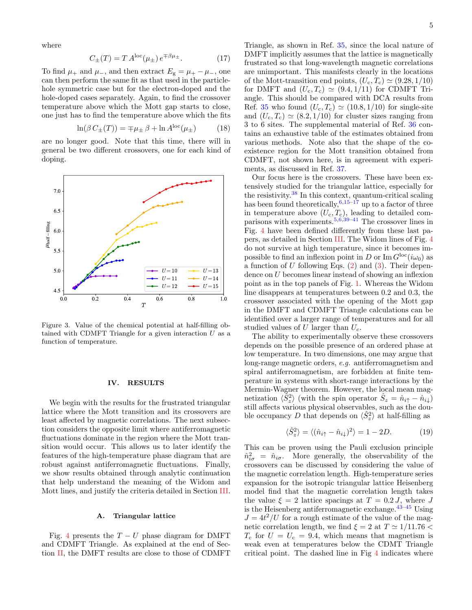where

$$
C_{\pm}(T) = T A^{\text{loc}}(\mu_{\pm}) e^{\mp \beta \mu_{\pm}}.
$$
 (17)

To find  $\mu_+$  and  $\mu_-$ , and then extract  $E_{\rm g} = \mu_+ - \mu_-$ , one can then perform the same fit as that used in the particlehole symmetric case but for the electron-doped and the hole-doped cases separately. Again, to find the crossover temperature above which the Mott gap starts to close, one just has to find the temperature above which the fits

<span id="page-4-2"></span>
$$
\ln(\beta C_{\pm}(T)) = \mp \mu_{\pm} \beta + \ln A^{\rm loc}(\mu_{\pm})
$$
 (18)

are no longer good. Note that this time, there will in general be two different crossovers, one for each kind of doping.



<span id="page-4-1"></span>Figure 3. Value of the chemical potential at half-filling obtained with CDMFT Triangle for a given interaction  $U$  as a function of temperature.

## <span id="page-4-0"></span>IV. RESULTS

We begin with the results for the frustrated triangular lattice where the Mott transition and its crossovers are least affected by magnetic correlations. The next subsection considers the opposite limit where antiferromagnetic fluctuations dominate in the region where the Mott transition would occur. This allows us to later identify the features of the high-temperature phase diagram that are robust against antiferromagnetic fluctuations. Finally, we show results obtained through analytic continuation that help understand the meaning of the Widom and Mott lines, and justify the criteria detailed in Section [III.](#page-1-0)

## A. Triangular lattice

Fig. [4](#page-5-0) presents the  $T - U$  phase diagram for DMFT and CDMFT Triangle. As explained at the end of Section [II,](#page-1-1) the DMFT results are close to those of CDMFT

Triangle, as shown in Ref. [35,](#page-8-28) since the local nature of DMFT implicitly assumes that the lattice is magnetically frustrated so that long-wavelength magnetic correlations are unimportant. This manifests clearly in the locations of the Mott-transition end points,  $(U_c, T_c) \simeq (9.28, 1/10)$ for DMFT and  $(U_c, T_c) \simeq (9.4, 1/11)$  for CDMFT Triangle. This should be compared with DCA results from Ref. [35](#page-8-28) who found  $(U_c, T_c) \simeq (10.8, 1/10)$  for single-site and  $(U_c, T_c) \simeq (8.2, 1/10)$  for cluster sizes ranging from 3 to 6 sites. The supplemental material of Ref. [36](#page-9-0) contains an exhaustive table of the estimates obtained from various methods. Note also that the shape of the coexistence region for the Mott transition obtained from CDMFT, not shown here, is in agreement with experiments, as discussed in Ref. [37.](#page-9-1)

Our focus here is the crossovers. These have been extensively studied for the triangular lattice, especially for the resistivity.[38](#page-9-2) In this context, quantum-critical scaling has been found theoretically,  $6,15-\overline{17}$  $6,15-\overline{17}$  $6,15-\overline{17}$  up to a factor of three in temperature above  $(U_c, T_c)$ , leading to detailed comparisons with experiments.[5](#page-8-29)[,6,](#page-8-3)[39–](#page-9-3)[41](#page-9-4) The crossover lines in Fig. [4](#page-5-0) have been defined differently from these last papers, as detailed in Section [III.](#page-1-0) The Widom lines of Fig. [4](#page-5-0) do not survive at high temperature, since it becomes impossible to find an inflexion point in D or  $\text{Im } G^{\text{loc}}(i\omega_0)$  as a function of  $U$  following Eqs. [\(2\)](#page-2-2) and [\(3\)](#page-2-3). Their dependence on U becomes linear instead of showing an inflexion point as in the top panels of Fig. [1.](#page-2-1) Whereas the Widom line disappears at temperatures between 0.2 and 0.3, the crossover associated with the opening of the Mott gap in the DMFT and CDMFT Triangle calculations can be identified over a larger range of temperatures and for all studied values of  $U$  larger than  $U_c$ .

The ability to experimentally observe these crossovers depends on the possible presence of an ordered phase at low temperature. In two dimensions, one may argue that long-range magnetic orders, e.g. antiferromagnetism and spiral antiferromagnetism, are forbidden at finite temperature in systems with short-range interactions by the Mermin-Wagner theorem. However, the local mean magnetization  $\langle \hat{S}_z^2 \rangle$  (with the spin operator  $\hat{S}_z = \hat{n}_{i\uparrow} - \hat{n}_{i\downarrow}$ ) still affects various physical observables, such as the double occupancy D that depends on  $\langle \hat{S}_z^2 \rangle$  at half-filling as

<span id="page-4-3"></span>
$$
\langle \hat{S}_z^2 \rangle = \langle (\hat{n}_{i\uparrow} - \hat{n}_{i\downarrow})^2 \rangle = 1 - 2D. \tag{19}
$$

This can be proven using the Pauli exclusion principle  $\hat{n}_{i\sigma}^2 = \hat{n}_{i\sigma}$ . More generally, the observability of the crossovers can be discussed by considering the value of the magnetic correlation length. High-temperature series expansion for the isotropic triangular lattice Heisenberg model find that the magnetic correlation length takes the value  $\xi = 2$  lattice spacings at  $T = 0.2 J$ , where J is the Heisenberg antiferromagnetic exchange. $43-45$  $43-45$  Using  $J = 4t^2/U$  for a rough estimate of the value of the magnetic correlation length, we find  $\xi = 2$  at  $T \simeq 1/11.76 <$  $T_c$  for  $U = U_c = 9.4$ , which means that magnetism is weak even at temperatures below the CDMT Triangle critical point. The dashed line in Fig [4](#page-5-0) indicates where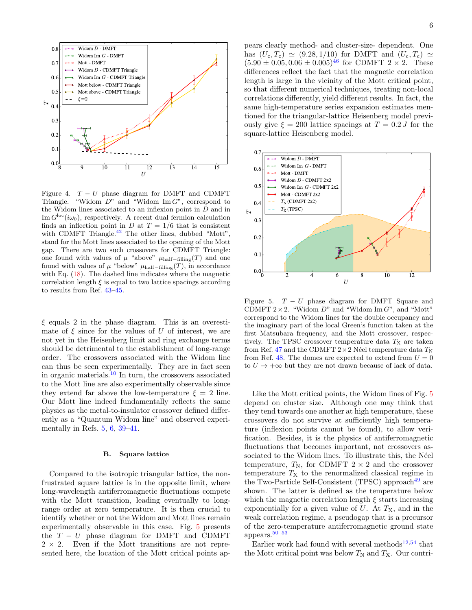

<span id="page-5-0"></span>Figure 4.  $T - U$  phase diagram for DMFT and CDMFT Triangle. "Widom  $D$ " and "Widom Im  $G$ ", correspond to the Widom lines associated to an inflexion point in D and in Im  $G^{\text{loc}}(i\omega_0)$ , respectively. A recent dual fermion calculation finds an inflection point in D at  $T = 1/6$  that is consistent with CDMFT Triangle. $^{42}$  $^{42}$  $^{42}$  The other lines, dubbed "Mott", stand for the Mott lines associated to the opening of the Mott gap. There are two such crossovers for CDMFT Triangle: one found with values of  $\mu$  "above"  $\mu_{\text{half-filling}}(T)$  and one found with values of  $\mu$  "below"  $\mu_{\text{half-filling}}(T)$ , in accordance with Eq.  $(18)$ . The dashed line indicates where the magnetic correlation length  $\xi$  is equal to two lattice spacings according to results from Ref. [43–](#page-9-5)[45.](#page-9-6)

 $\xi$  equals 2 in the phase diagram. This is an overestimate of  $\xi$  since for the values of U of interest, we are not yet in the Heisenberg limit and ring exchange terms should be detrimental to the establishment of long-range order. The crossovers associated with the Widom line can thus be seen experimentally. They are in fact seen in organic materials.[10](#page-8-6) In turn, the crossovers associated to the Mott line are also experimentally observable since they extend far above the low-temperature  $\xi = 2$  line. Our Mott line indeed fundamentally reflects the same physics as the metal-to-insulator crossover defined differently as a "Quantum Widom line" and observed experimentally in Refs. [5,](#page-8-29) [6,](#page-8-3) [39–](#page-9-3)[41.](#page-9-4)

### B. Square lattice

Compared to the isotropic triangular lattice, the nonfrustrated square lattice is in the opposite limit, where long-wavelength antiferromagnetic fluctuations compete with the Mott transition, leading eventually to longrange order at zero temperature. It is then crucial to identify whether or not the Widom and Mott lines remain experimentally observable in this case. Fig. [5](#page-5-1) presents the  $T - U$  phase diagram for DMFT and CDMFT  $2 \times 2$ . Even if the Mott transitions are not represented here, the location of the Mott critical points aphas  $(U_c, T_c) \simeq (9.28, 1/10)$  for DMFT and  $(U_c, T_c) \simeq$  $(5.90 \pm 0.05, 0.06 \pm 0.005)^{46}$  $(5.90 \pm 0.05, 0.06 \pm 0.005)^{46}$  $(5.90 \pm 0.05, 0.06 \pm 0.005)^{46}$  for CDMFT  $2 \times 2$ . These differences reflect the fact that the magnetic correlation length is large in the vicinity of the Mott critical point, so that different numerical techniques, treating non-local correlations differently, yield different results. In fact, the same high-temperature series expansion estimates mentioned for the triangular-lattice Heisenberg model previously give  $\xi = 200$  lattice spacings at  $T = 0.2 J$  for the square-lattice Heisenberg model.



<span id="page-5-1"></span>Figure 5.  $T - U$  phase diagram for DMFT Square and CDMFT  $2 \times 2$ . "Widom  $D$ " and "Widom Im  $G$ ", and "Mott" correspond to the Widom lines for the double occupancy and the imaginary part of the local Green's function taken at the first Matsubara frequency, and the Mott crossover, respectively. The TPSC crossover temperature data  $T<sub>X</sub>$  are taken from Ref. [47](#page-9-9) and the CDMFT  $2 \times 2$  Néel temperature data  $T_N$ from Ref. [48.](#page-9-10) The domes are expected to extend from  $U = 0$ to  $U \rightarrow +\infty$  but they are not drawn because of lack of data.

Like the Mott critical points, the Widom lines of Fig. [5](#page-5-1) depend on cluster size. Although one may think that they tend towards one another at high temperature, these crossovers do not survive at sufficiently high temperature (inflexion points cannot be found), to allow verification. Besides, it is the physics of antiferromagnetic fluctuations that becomes important, not crossovers associated to the Widom lines. To illustrate this, the Néel temperature,  $T_N$ , for CDMFT  $2 \times 2$  and the crossover temperature  $T<sub>X</sub>$  to the renormalized classical regime in the Two-Particle Self-Consistent (TPSC) approach<sup>[49](#page-9-11)</sup> are shown. The latter is defined as the temperature below which the magnetic correlation length  $\xi$  starts increasing exponentially for a given value of  $U$ . At  $T_X$ , and in the weak correlation regime, a pseudogap that is a precursor of the zero-temperature antiferromagnetic ground state appears. $50-53$  $50-53$ 

Earlier work had found with several methods<sup>[12](#page-8-8)[,54](#page-9-14)</sup> that the Mott critical point was below  $T_N$  and  $T_X$ . Our contri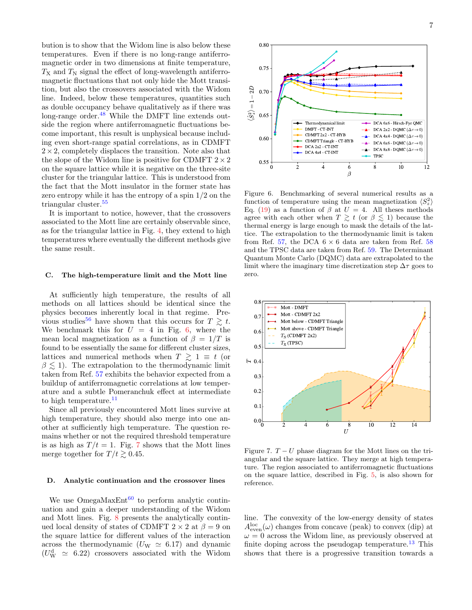bution is to show that the Widom line is also below these temperatures. Even if there is no long-range antiferromagnetic order in two dimensions at finite temperature,  $T<sub>X</sub>$  and  $T<sub>N</sub>$  signal the effect of long-wavelength antiferromagnetic fluctuations that not only hide the Mott transition, but also the crossovers associated with the Widom line. Indeed, below these temperatures, quantities such as double occupancy behave qualitatively as if there was long-range order. $48$  While the DMFT line extends outside the region where antiferromagnetic fluctuations become important, this result is unphysical because including even short-range spatial correlations, as in CDMFT  $2 \times 2$ , completely displaces the transition. Note also that the slope of the Widom line is positive for CDMFT  $2 \times 2$ on the square lattice while it is negative on the three-site cluster for the triangular lattice. This is understood from the fact that the Mott insulator in the former state has zero entropy while it has the entropy of a spin 1/2 on the triangular cluster.[55](#page-9-15)

It is important to notice, however, that the crossovers associated to the Mott line are certainly observable since, as for the triangular lattice in Fig. [4,](#page-5-0) they extend to high temperatures where eventually the different methods give the same result.

### C. The high-temperature limit and the Mott line

At sufficiently high temperature, the results of all methods on all lattices should be identical since the physics becomes inherently local in that regime. Pre-vious studies<sup>[56](#page-9-16)</sup> have shown that this occurs for  $T \gtrsim t$ . We benchmark this for  $U = 4$  in Fig. [6,](#page-6-0) where the mean local magnetization as a function of  $\beta = 1/T$  is found to be essentially the same for different cluster sizes, lattices and numerical methods when  $T \gtrsim 1 \equiv t$  (or  $\beta \lesssim 1$ ). The extrapolation to the thermodynamic limit taken from Ref. [57](#page-9-17) exhibits the behavior expected from a buildup of antiferromagnetic correlations at low temperature and a subtle Pomeranchuk effect at intermediate to high temperature.<sup>[11](#page-8-7)</sup>

Since all previously encountered Mott lines survive at high temperature, they should also merge into one another at sufficiently high temperature. The question remains whether or not the required threshold temperature is as high as  $T/t = 1$ . Fig. [7](#page-6-1) shows that the Mott lines merge together for  $T/t \gtrsim 0.45$ .

### D. Analytic continuation and the crossover lines

We use  $OmegaMaxEnt^{60}$  $OmegaMaxEnt^{60}$  $OmegaMaxEnt^{60}$  to perform analytic continuation and gain a deeper understanding of the Widom and Mott lines. Fig. [8](#page-7-0) presents the analytically continued local density of states of CDMFT  $2 \times 2$  at  $\beta = 9$  on the square lattice for different values of the interaction across the thermodynamic  $(U_{\rm W} \simeq 6.17)$  and dynamic  $(U_{\text{W}}^{d} \simeq 6.22)$  crossovers associated with the Widom



<span id="page-6-0"></span>0 2 4 6 8 10 12  $\beta$ 

Figure 6. Benchmarking of several numerical results as a function of temperature using the mean magnetization  $\langle S_z^2 \rangle$ Eq. [\(19\)](#page-4-3) as a function of  $\beta$  at  $U = 4$ . All theses methods agree with each other when  $T \gtrsim t$  (or  $\beta \lesssim 1$ ) because the thermal energy is large enough to mask the details of the lattice. The extrapolation to the thermodynamic limit is taken from Ref. [57,](#page-9-17) the DCA  $6 \times 6$  data are taken from Ref. [58](#page-9-19) and the TPSC data are taken from Ref. [59.](#page-9-20) The Determinant Quantum Monte Carlo (DQMC) data are extrapolated to the limit where the imaginary time discretization step  $\Delta \tau$  goes to zero.



<span id="page-6-1"></span>Figure 7.  $T-U$  phase diagram for the Mott lines on the triangular and the square lattice. They merge at high temperature. The region associated to antiferromagnetic fluctuations on the square lattice, described in Fig. [5,](#page-5-1) is also shown for reference.

line. The convexity of the low-energy density of states  $A_{\text{even}}^{\text{loc}}(\omega)$  changes from concave (peak) to convex (dip) at  $\omega = 0$  across the Widom line, as previously observed at finite doping across the pseudogap temperature. $^{13}$  $^{13}$  $^{13}$  This shows that there is a progressive transition towards a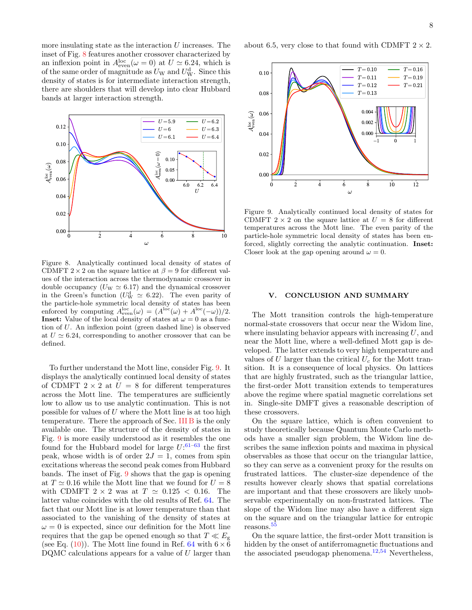more insulating state as the interaction  $U$  increases. The inset of Fig. [8](#page-7-0) features another crossover characterized by an inflexion point in  $A_{\text{even}}^{\text{loc}}(\omega = 0)$  at  $U \simeq 6.24$ , which is of the same order of magnitude as  $U_W$  and  $U_W^d$ . Since this density of states is for intermediate interaction strength, there are shoulders that will develop into clear Hubbard bands at larger interaction strength.



<span id="page-7-0"></span>Figure 8. Analytically continued local density of states of CDMFT  $2 \times 2$  on the square lattice at  $\beta = 9$  for different values of the interaction across the thermodynamic crossover in double occupancy  $(U_W \simeq 6.17)$  and the dynamical crossover in the Green's function  $(U_{\rm W}^{\rm d} \simeq 6.22)$ . The even parity of the particle-hole symmetric local density of states has been enforced by computing  $A_{\text{even}}^{\text{loc}}(\omega) = (A^{\text{loc}}(\omega) + A^{\text{loc}}(-\omega))/2$ . **Inset:** Value of the local density of states at  $\omega = 0$  as a function of U. An inflexion point (green dashed line) is observed at  $U \simeq 6.24$ , corresponding to another crossover that can be defined.

To further understand the Mott line, consider Fig. [9.](#page-7-1) It displays the analytically continued local density of states of CDMFT  $2 \times 2$  at  $U = 8$  for different temperatures across the Mott line. The temperatures are sufficiently low to allow us to use analytic continuation. This is not possible for values of  $U$  where the Mott line is at too high temperature. There the approach of Sec. [III B](#page-2-4) is the only available one. The structure of the density of states in Fig. [9](#page-7-1) is more easily understood as it resembles the one found for the Hubbard model for large  $U:^{61-63}$  $U:^{61-63}$  $U:^{61-63}$  the first peak, whose width is of order  $2J = 1$ , comes from spin excitations whereas the second peak comes from Hubbard bands. The inset of Fig. [9](#page-7-1) shows that the gap is opening at  $T \simeq 0.16$  while the Mott line that we found for  $U = 8$ with CDMFT  $2 \times 2$  was at  $T \approx 0.125 < 0.16$ . The latter value coincides with the old results of Ref. [64.](#page-9-23) The fact that our Mott line is at lower temperature than that associated to the vanishing of the density of states at  $\omega = 0$  is expected, since our definition for the Mott line requires that the gap be opened enough so that  $T \ll E_{\rm g}$ (see Eq. [\(10\)](#page-3-4)). The Mott line found in Ref. [64](#page-9-23) with  $6 \times 6$ DQMC calculations appears for a value of U larger than

about 6.5, very close to that found with CDMFT  $2 \times 2$ .



<span id="page-7-1"></span>Figure 9. Analytically continued local density of states for CDMFT  $2 \times 2$  on the square lattice at  $U = 8$  for different temperatures across the Mott line. The even parity of the particle-hole symmetric local density of states has been enforced, slightly correcting the analytic continuation. Inset: Closer look at the gap opening around  $\omega = 0$ .

### V. CONCLUSION AND SUMMARY

The Mott transition controls the high-temperature normal-state crossovers that occur near the Widom line, where insulating behavior appears with increasing  $U$ , and near the Mott line, where a well-defined Mott gap is developed. The latter extends to very high temperature and values of  $U$  larger than the critical  $U_c$  for the Mott transition. It is a consequence of local physics. On lattices that are highly frustrated, such as the triangular lattice, the first-order Mott transition extends to temperatures above the regime where spatial magnetic correlations set in. Single-site DMFT gives a reasonable description of these crossovers.

On the square lattice, which is often convenient to study theoretically because Quantum Monte Carlo methods have a smaller sign problem, the Widom line describes the same inflexion points and maxima in physical observables as those that occur on the triangular lattice, so they can serve as a convenient proxy for the results on frustrated lattices. The cluster-size dependence of the results however clearly shows that spatial correlations are important and that these crossovers are likely unobservable experimentally on non-frustrated lattices. The slope of the Widom line may also have a different sign on the square and on the triangular lattice for entropic reasons.[55](#page-9-15)

On the square lattice, the first-order Mott transition is hidden by the onset of antiferromagnetic fluctuations and the associated pseudogap phenomena.<sup>[12](#page-8-8)[,54](#page-9-14)</sup> Nevertheless,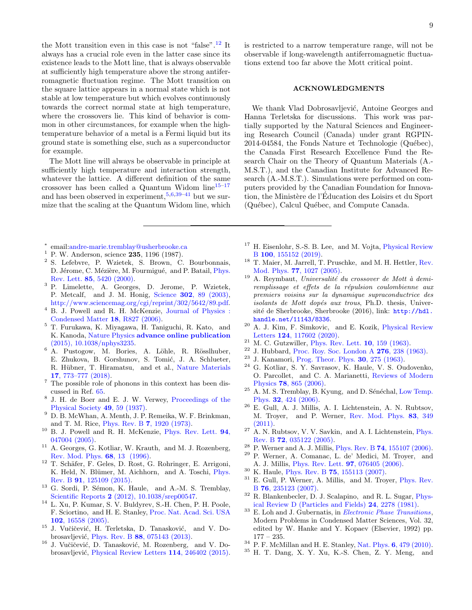the Mott transition even in this case is not "false".[12](#page-8-8) It always has a crucial role even in the latter case since its existence leads to the Mott line, that is always observable at sufficiently high temperature above the strong antiferromagnetic fluctuation regime. The Mott transition on the square lattice appears in a normal state which is not stable at low temperature but which evolves continuously towards the correct normal state at high temperature, where the crossovers lie. This kind of behavior is common in other circumstances, for example when the hightemperature behavior of a metal is a Fermi liquid but its ground state is something else, such as a superconductor for example.

The Mott line will always be observable in principle at sufficiently high temperature and interaction strength, whatever the lattice. A different definition of the same crossover has been called a Quantum Widom  $line^{15-17}$  $line^{15-17}$  $line^{15-17}$ and has been observed in experiment,  $5,6,39-41$  $5,6,39-41$  $5,6,39-41$  $5,6,39-41$  but we surmize that the scaling at the Quantum Widom line, which

- <span id="page-8-0"></span>∗ email[:andre-marie.tremblay@usherbrooke.ca](mailto:andre-marie.tremblay@usherbrooke.ca)
- <span id="page-8-1"></span> $1$  P. W. Anderson, science 235, 1196 (1987).
- <span id="page-8-2"></span><sup>2</sup> S. Lefebvre, P. Wzietek, S. Brown, C. Bourbonnais, D. Jérome, C. Mézière, M. Fourmigué, and P. Batail, [Phys.](http://dx.doi.org/ 10.1103/PhysRevLett.85.5420) Rev. Lett. 85[, 5420 \(2000\).](http://dx.doi.org/ 10.1103/PhysRevLett.85.5420)
- <sup>3</sup> P. Limelette, A. Georges, D. Jerome, P. Wzietek, P. Metcalf, and J. M. Honig, Science 302[, 89 \(2003\),](http://dx.doi.org/ 10.1126/science.1088386) [http://www.sciencemag.org/cgi/reprint/302/5642/89.pdf.](http://arxiv.org/abs/http://www.sciencemag.org/cgi/reprint/302/5642/89.pdf)
- <sup>4</sup> B. J. Powell and R. H. McKenzie, [Journal of Physics :](http://stacks.iop.org/0953-8984/18/i=45/a=R03) [Condensed Matter](http://stacks.iop.org/0953-8984/18/i=45/a=R03) 18, R827 (2006).
- <span id="page-8-29"></span><sup>5</sup> T. Furukawa, K. Miyagawa, H. Taniguchi, R. Kato, and K. Kanoda, Nature Physics [advance online publication](http://dx.doi.org/ 10.1038/nphys3235) [\(2015\), 10.1038/nphys3235.](http://dx.doi.org/ 10.1038/nphys3235)
- <span id="page-8-3"></span> $6$  A. Pustogow, M. Bories, A. Löhle, R. Rösslhuber, E. Zhukova, B. Gorshunov, S. Tomić, J. A. Schlueter, R. Hübner, T. Hiramatsu, and et al., [Nature Materials](http://dx.doi.org/ 10.1038/s41563-018-0140-3) 17[, 773–777 \(2018\).](http://dx.doi.org/ 10.1038/s41563-018-0140-3)
- <span id="page-8-4"></span> $^7\,$  The possible role of phonons in this context has been discussed in Ref. [65.](#page-9-24)
- <span id="page-8-5"></span>8 J. H. de Boer and E. J. W. Verwey, [Proceedings of the](http://stacks.iop.org/0959-5309/49/i=4S/a=307) [Physical Society](http://stacks.iop.org/0959-5309/49/i=4S/a=307) 49, 59 (1937).
- <sup>9</sup> D. B. McWhan, A. Menth, J. P. Remeika, W. F. Brinkman, and T. M. Rice, Phys. Rev. B 7[, 1920 \(1973\).](http://dx.doi.org/ 10.1103/PhysRevB.7.1920)
- <span id="page-8-6"></span><sup>10</sup> B. J. Powell and R. H. McKenzie, [Phys. Rev. Lett.](http://dx.doi.org/10.1103/PhysRevLett.94.047004) 94, [047004 \(2005\).](http://dx.doi.org/10.1103/PhysRevLett.94.047004)
- <span id="page-8-7"></span><sup>11</sup> A. Georges, G. Kotliar, W. Krauth, and M. J. Rozenberg, [Rev. Mod. Phys.](http://journals.aps.org/rmp/abstract/10.1103/RevModPhys.68.13) 68, 13 (1996).
- <span id="page-8-8"></span><sup>12</sup> T. Schäfer, F. Geles, D. Rost, G. Rohringer, E. Arrigoni, K. Held, N. Blümer, M. Aichhorn, and A. Toschi, [Phys.](http://dx.doi.org/10.1103/PhysRevB.91.125109) Rev. B 91[, 125109 \(2015\).](http://dx.doi.org/10.1103/PhysRevB.91.125109)
- <span id="page-8-9"></span><sup>13</sup> G. Sordi, P. Sémon, K. Haule, and A.-M. S. Tremblay, Scientific Reports 2 [\(2012\), 10.1038/srep00547.](http://dx.doi.org/10.1038/srep00547)
- <span id="page-8-10"></span><sup>14</sup> L. Xu, P. Kumar, S. V. Buldyrev, S.-H. Chen, P. H. Poole, F. Sciortino, and H. E. Stanley, [Proc. Nat. Acad. Sci. USA](http://dx.doi.org/ 10.1073/pnas.0507870102) 102[, 16558 \(2005\).](http://dx.doi.org/ 10.1073/pnas.0507870102)
- <span id="page-8-11"></span><sup>15</sup> J. Vučičević, H. Terletska, D. Tanasković, and V. Do-brosavljević, Phys. Rev. B 88[, 075143 \(2013\).](http://dx.doi.org/ 10.1103/PhysRevB.88.075143)
- <sup>16</sup> J. Vučičević, D. Tanasković, M. Rozenberg, and V. Do-brosavljević, [Physical Review Letters](http://dx.doi.org/10.1103/PhysRevLett.114.246402) 114, 246402 (2015).

# ACKNOWLEDGMENTS

We thank Vlad Dobrosavljević, Antoine Georges and Hanna Terletska for discussions. This work was partially supported by the Natural Sciences and Engineering Research Council (Canada) under grant RGPIN- $2014-04584$ , the Fonds Nature et Technologie (Québec), the Canada First Research Excellence Fund the Research Chair on the Theory of Quantum Materials (A.- M.S.T.), and the Canadian Institute for Advanced Research (A.-M.S.T.). Simulations were performed on computers provided by the Canadian Foundation for Innovation, the Ministère de l'Éducation des Loisirs et du Sport (Québec), Calcul Québec, and Compute Canada.

- <span id="page-8-12"></span><sup>17</sup> H. Eisenlohr, S.-S. B. Lee, and M. Vojta, *[Physical Review](http://dx.doi.org/10.1103/PhysRevB.100.155152)* B 100[, 155152 \(2019\).](http://dx.doi.org/10.1103/PhysRevB.100.155152)
- <span id="page-8-13"></span><sup>18</sup> T. Maier, M. Jarrell, T. Pruschke, and M. H. Hettler, [Rev.](http://dx.doi.org/10.1103/RevModPhys.77.1027) Mod. Phys. 77[, 1027 \(2005\).](http://dx.doi.org/10.1103/RevModPhys.77.1027)
- <span id="page-8-14"></span> $^{19}$  A. Reymbaut, Universalité du crossover de Mott à demiremplissage et effets de la répulsion coulombienne aux premiers voisins sur la dynamique supraconductrice des isolants de Mott dopés aux trous, Ph.D. thesis, Université de Sherbrooke, Sherbrooke (2016), link: [http://hdl.](http://hdl.handle.net/11143/8336) [handle.net/11143/8336](http://hdl.handle.net/11143/8336).
- <span id="page-8-15"></span><sup>20</sup> A. J. Kim, F. Simkovic, and E. Kozik, [Physical Review](http://dx.doi.org/10.1103/PhysRevLett.124.117602) Letters 124[, 117602 \(2020\).](http://dx.doi.org/10.1103/PhysRevLett.124.117602)
- <span id="page-8-16"></span> $21$  M. C. Gutzwiller, *[Phys. Rev. Lett.](http://dx.doi.org/10.1103/PhysRevLett.10.159)* **10**, 159 (1963).
- $22$  J. Hubbard, [Proc. Roy. Soc. London A](http://www.huy-nguyen.com/wp-content/uploads/QMC-papers/Hubbard-ProcRSocA-1963.pdf)  $276$ , 238 (1963).
- <span id="page-8-17"></span><sup>23</sup> J. Kanamori, [Prog. Theor. Phys.](http://ptp.oxfordjournals.org/content/30/3/275.abstract) 30, 275 (1963).
- <span id="page-8-18"></span><sup>24</sup> G. Kotliar, S. Y. Savrasov, K. Haule, V. S. Oudovenko, O. Parcollet, and C. A. Marianetti, [Reviews of Modern](http://dx.doi.org/10.1103/RevModPhys.78.865) Physics 78[, 865 \(2006\).](http://dx.doi.org/10.1103/RevModPhys.78.865)
- <span id="page-8-19"></span> $^{25}\,$  A. M. S. Tremblay, B. Kyung, and D. Sénéchal, [Low Temp.](http://dx.doi.org/10.1063/1.2199446) Phys. 32[, 424 \(2006\).](http://dx.doi.org/10.1063/1.2199446)
- <span id="page-8-20"></span><sup>26</sup> E. Gull, A. J. Millis, A. I. Lichtenstein, A. N. Rubtsov, M. Troyer, and P. Werner, [Rev. Mod. Phys.](http://dx.doi.org/ 10.1103/RevModPhys.83.349) 83, 349 [\(2011\).](http://dx.doi.org/ 10.1103/RevModPhys.83.349)
- <span id="page-8-21"></span> $27$  A. N. Rubtsov, V. V. Savkin, and A. I. Lichtenstein, [Phys.](http://dx.doi.org/10.1103/PhysRevB.72.035122) Rev. B 72[, 035122 \(2005\).](http://dx.doi.org/10.1103/PhysRevB.72.035122)
- <span id="page-8-22"></span><sup>28</sup> P. Werner and A. J. Millis, Phys. Rev. B **74**[, 155107 \(2006\).](http://dx.doi.org/10.1103/PhysRevB.74.155107)
- P. Werner, A. Comanac, L. de' Medici, M. Troyer, and A. J. Millis, [Phys. Rev. Lett.](http://dx.doi.org/ 10.1103/PhysRevLett.97.076405) 97, 076405 (2006).
- <span id="page-8-23"></span><sup>30</sup> K. Haule, Phys. Rev. B 75[, 155113 \(2007\).](http://dx.doi.org/10.1103/PhysRevB.75.155113)
- <span id="page-8-24"></span><sup>31</sup> E. Gull, P. Werner, A. Millis, and M. Troyer, [Phys. Rev.](http://dx.doi.org/ 10.1103/PhysRevB.76.235123) B 76[, 235123 \(2007\).](http://dx.doi.org/ 10.1103/PhysRevB.76.235123)
- <span id="page-8-25"></span><sup>32</sup> R. Blankenbecler, D. J. Scalapino, and R. L. Sugar, [Phys](http://link.aps.org/abstract/PRD/v24/p2278)[ical Review D \(Particles and Fields\)](http://link.aps.org/abstract/PRD/v24/p2278) 24, 2278 (1981).
- <span id="page-8-26"></span> $^{33}$  E. Loh and J. Gubernatis, in *[Electronic Phase Transitions](http://dx.doi.org/ https://doi.org/10.1016/B978-0-444-88885-3.50009-3)*, Modern Problems in Condensed Matter Sciences, Vol. 32, edited by W. Hanke and Y. Kopaev (Elsevier, 1992) pp. 177 – 235.
- <span id="page-8-27"></span> $^{34}$  P. F. McMillan and H. E. Stanley, Nat. Phys.  $\boldsymbol{6}, 479$  (2010).
- <span id="page-8-28"></span><sup>35</sup> H. T. Dang, X. Y. Xu, K.-S. Chen, Z. Y. Meng, and